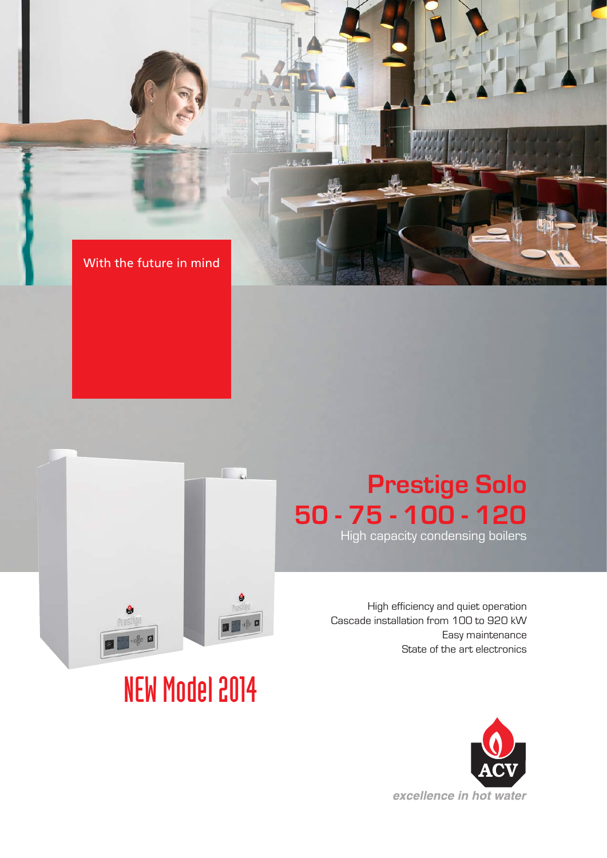



# NEW Model 2014

# **Prestige Solo 50 - 75 - 100 - 120**

High capacity condensing boilers

High efficiency and quiet operation Cascade installation from 100 to 920 kW Easy maintenance State of the art electronics

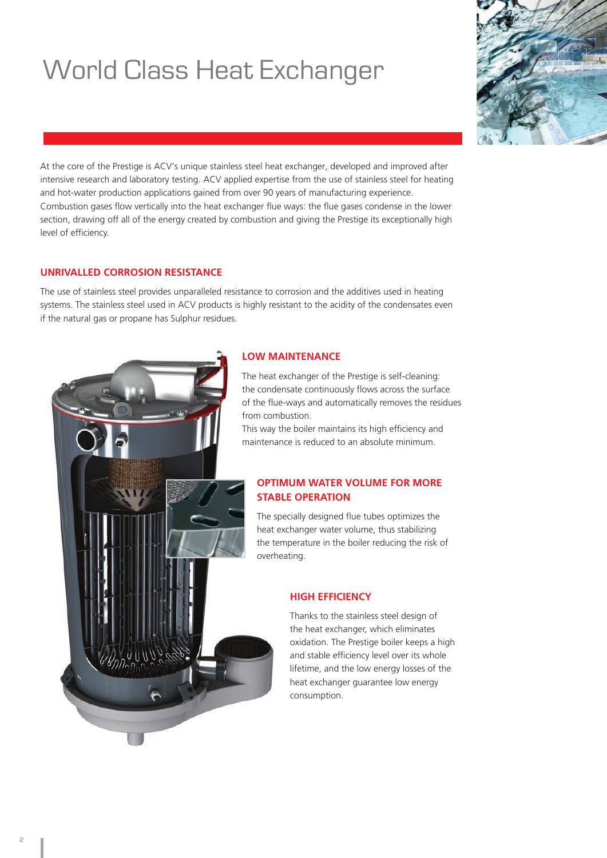# World Class Heat Exchanger



At the core of the Prestige is ACV's unique stainless steel heat exchanger, developed and improved after intensive research and laboratory testing. ACV applied expertise from the use of stainless steel for heating and hot-water production applications gained from over 90 years of manufacturing experience. Combustion gases flow vertically into the heat exchanger flue ways: the flue gases condense in the lower section, drawing off all of the energy created by combustion and giving the Prestige its exceptionally high level of efficiency.

### **UNRIVALLED CORROSION RESISTANCE**

The use of stainless steel provides unparalleled resistance to corrosion and the additives used in heating systems. The stainless steel used in ACV products is highly resistant to the acidity of the condensates even if the natural gas or propane has Sulphur residues.



### **LOW MAINTENANCE**

The heat exchanger of the Prestige is self-cleaning: the condensate continuously flows across the surface of the flue-ways and automatically removes the residues from combustion.

This way the boiler maintains its high efficiency and maintenance is reduced to an absolute minimum.

### **OPTIMUM WATER VOLUME FOR MORE STABLE OPERATION**

The specially designed flue tubes optimizes the heat exchanger water volume, thus stabilizing the temperature in the boiler reducing the risk of overheating.

### **HIGH EFFICIENCY**

Thanks to the stainless steel design of the heat exchanger, which eliminates oxidation. The Prestige boiler keeps a high and stable efficiency level over its whole lifetime, and the low energy losses of the heat exchanger guarantee low energy consumption.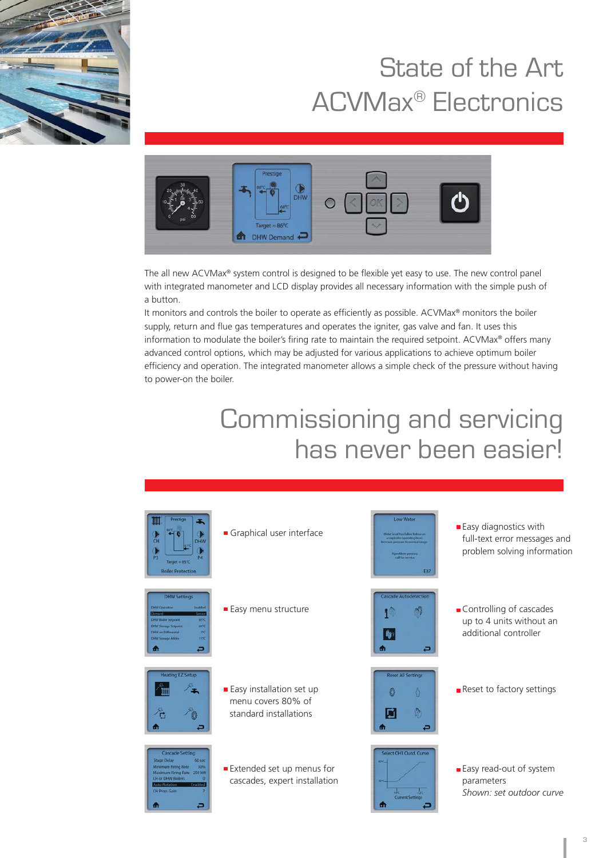

# State of the Art ACVMax® Electronics



The all new ACVMax® system control is designed to be flexible yet easy to use. The new control panel with integrated manometer and LCD display provides all necessary information with the simple push of a button.

It monitors and controls the boiler to operate as efficiently as possible. ACVMax® monitors the boiler supply, return and flue gas temperatures and operates the igniter, gas valve and fan. It uses this information to modulate the boiler's firing rate to maintain the required setpoint. ACVMax® offers many advanced control options, which may be adjusted for various applications to achieve optimum boiler efficiency and operation. The integrated manometer allows a simple check of the pressure without having to power-on the boiler.

### Commissioning and servicing has never been easier!

| ÷.<br><b>DHW</b><br>н<br>л<br><b>P4</b><br>Target = $85^\circ C$<br><b>Boiler Protection</b>                                                                                                           | Graphical user interface                                                        | Low Water<br>Water level has fallen below an<br>acceptable operating level.<br>ncrease pressure to normal range.<br>If problem persists.<br>call for service<br>E37 | <b>Easy diagnostics with</b><br>full-text error messages and<br>problem solving information |
|--------------------------------------------------------------------------------------------------------------------------------------------------------------------------------------------------------|---------------------------------------------------------------------------------|---------------------------------------------------------------------------------------------------------------------------------------------------------------------|---------------------------------------------------------------------------------------------|
| <b>DHW Settings</b><br><b>Enabled</b><br>W Operation<br>mini<br><b>85°C</b><br>W Boiler Setpoint<br>orc<br><b>IW Storage Setpoint</b><br>W on Differential<br>30<br>W Storage Adder<br><b>IVC</b><br>٥ | ■ Easy menu structure                                                           | <b>Cascade Autodetection</b><br>٥                                                                                                                                   | Controlling of cascades<br>up to 4 units without an<br>additional controller                |
| <b>Heating EZ Setup</b>                                                                                                                                                                                | <b>Easy installation set up</b><br>menu covers 80% of<br>standard installations | <b>Reset All Settings</b><br>Ò<br>m                                                                                                                                 | Reset to factory settings                                                                   |
| <b>Cascade Setting</b><br>60 sec<br>tage Delay<br>30%<br><b>Minimum Firing Rate</b><br><b>Maximum Firing Rate 250 kW</b><br>H or DHW Boilers<br>$\overline{0}$<br>Enabled<br>H Prop. Gain<br>٥         | Extended set up menus for<br>cascades, expert installation                      | Select CH1 Outd. Curve<br>arc.<br><b>MYCL</b><br>ŵε<br><b>Current Settings</b><br>m                                                                                 | <b>Easy read-out of system</b><br>parameters<br>Shown: set outdoor curve                    |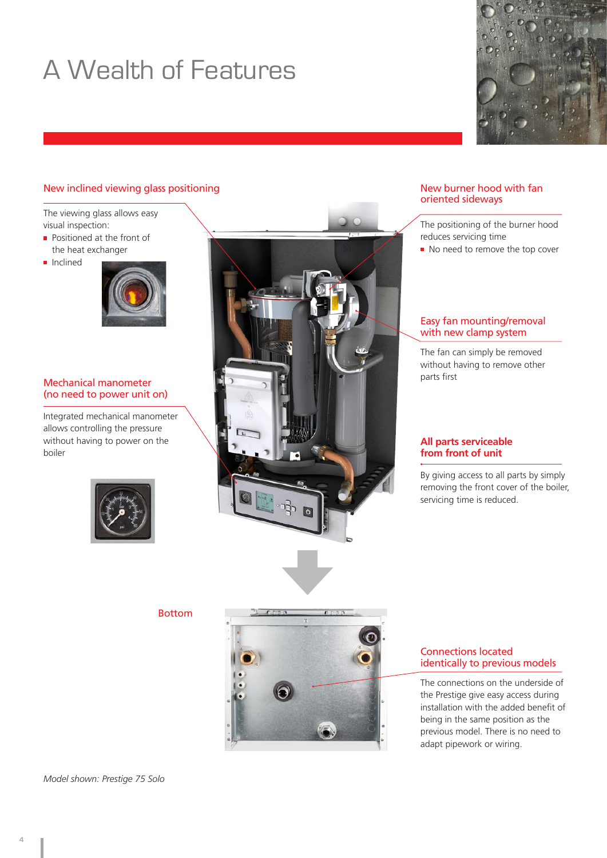# A Wealth of Features

### New inclined viewing glass positioning

The viewing glass allows easy visual inspection:

- Positioned at the front of the heat exchanger
- **Inclined**



#### Mechanical manometer (no need to power unit on)

Integrated mechanical manometer allows controlling the pressure without having to power on the boiler





#### New burner hood with fan oriented sideways

The positioning of the burner hood reduces servicing time

No need to remove the top cover

#### Easy fan mounting/removal with new clamp system

The fan can simply be removed without having to remove other parts first

#### **All parts serviceable from front of unit**

By giving access to all parts by simply removing the front cover of the boiler, servicing time is reduced.

Bottom



#### Connections located identically to previous models

The connections on the underside of the Prestige give easy access during installation with the added benefit of being in the same position as the previous model. There is no need to adapt pipework or wiring.

*Model shown: Prestige 75 Solo*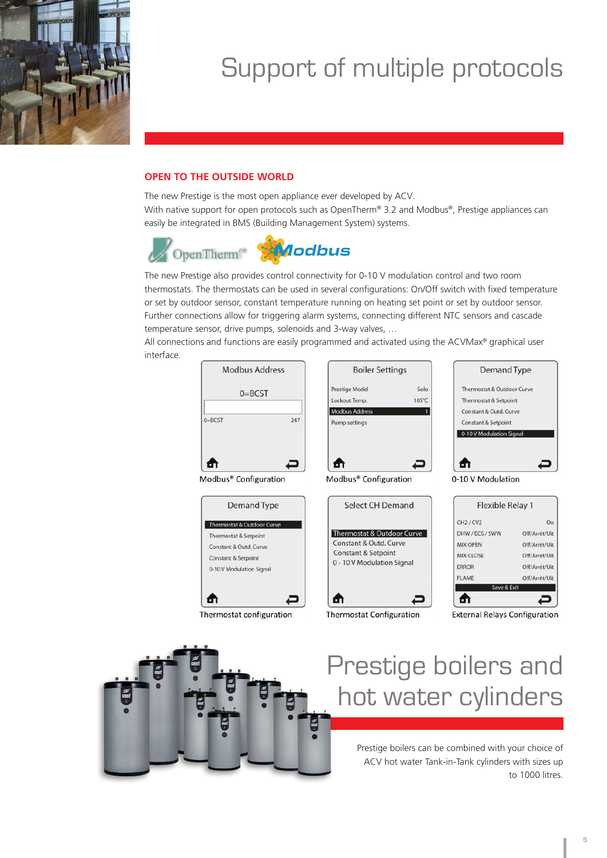

# Support of multiple protocols

### **OPEN TO THE OUTSIDE WORLD**

The new Prestige is the most open appliance ever developed by ACV. With native support for open protocols such as OpenTherm® 3.2 and Modbus®, Prestige appliances can easily be integrated in BMS (Building Management System) systems.



The new Prestige also provides control connectivity for 0-10 V modulation control and two room thermostats. The thermostats can be used in several configurations: On/Off switch with fixed temperature or set by outdoor sensor, constant temperature running on heating set point or set by outdoor sensor. Further connections allow for triggering alarm systems, connecting different NTC sensors and cascade temperature sensor, drive pumps, solenoids and 3-way valves, …

All connections and functions are easily programmed and activated using the ACVMax® graphical user interface.





# Prestige boilers and hot water cylinders

Prestige boilers can be combined with your choice of ACV hot water Tank-in-Tank cylinders with sizes up to 1000 litres.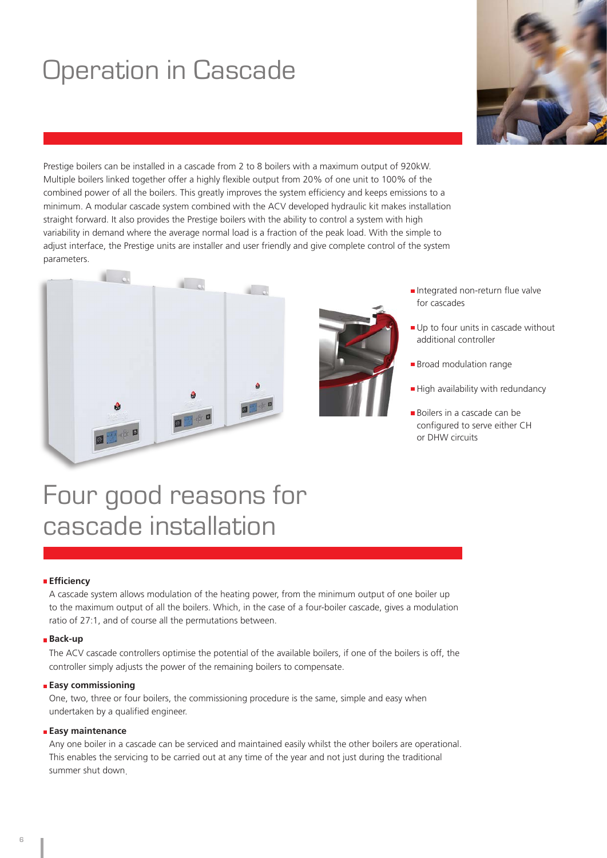# Operation in Cascade

Prestige boilers can be installed in a cascade from 2 to 8 boilers with a maximum output of 920kW. Multiple boilers linked together offer a highly flexible output from 20% of one unit to 100% of the combined power of all the boilers. This greatly improves the system efficiency and keeps emissions to a minimum. A modular cascade system combined with the ACV developed hydraulic kit makes installation straight forward. It also provides the Prestige boilers with the ability to control a system with high variability in demand where the average normal load is a fraction of the peak load. With the simple to adjust interface, the Prestige units are installer and user friendly and give complete control of the system parameters.





- Integrated non-return flue valve for cascades
- Up to four units in cascade without additional controller
- **Broad modulation range**
- High availability with redundancy
- **Boilers in a cascade can be** configured to serve either CH or DHW circuits

### Four good reasons for cascade installation

#### **Efficiency**

A cascade system allows modulation of the heating power, from the minimum output of one boiler up to the maximum output of all the boilers. Which, in the case of a four-boiler cascade, gives a modulation ratio of 27:1, and of course all the permutations between.

#### **Back-up**

The ACV cascade controllers optimise the potential of the available boilers, if one of the boilers is off, the controller simply adjusts the power of the remaining boilers to compensate.

#### **Easy commissioning**

One, two, three or four boilers, the commissioning procedure is the same, simple and easy when undertaken by a qualified engineer.

#### **Easy maintenance**

Any one boiler in a cascade can be serviced and maintained easily whilst the other boilers are operational. This enables the servicing to be carried out at any time of the year and not just during the traditional summer shut down.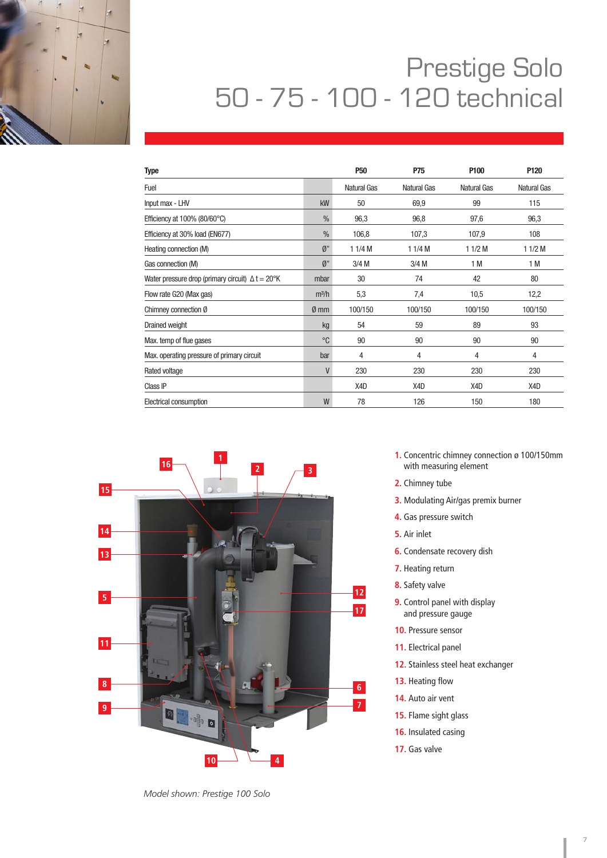

### Prestige Solo Prestige Solo<br>50 - 75 - 100 - 120 technical

| <b>Type</b>                                                     |                   | P <sub>50</sub> | P75         | P <sub>100</sub> | P120               |
|-----------------------------------------------------------------|-------------------|-----------------|-------------|------------------|--------------------|
| Fuel                                                            |                   | Natural Gas     | Natural Gas | Natural Gas      | <b>Natural Gas</b> |
| Input max - LHV                                                 | kW                | 50              | 69,9        | 99               | 115                |
| Efficiency at $100\%$ (80/60 $^{\circ}$ C)                      | $\frac{0}{0}$     | 96,3            | 96,8        | 97,6             | 96,3               |
| Efficiency at 30% load (EN677)                                  | $\frac{0}{0}$     | 106,8           | 107,3       | 107,9            | 108                |
| Heating connection (M)                                          | $\emptyset$ "     | 11/4M           | 11/4M       | $11/2$ M         | 11/2M              |
| Gas connection (M)                                              | $\emptyset$ "     | $3/4$ M         | $3/4$ M     | 1 M              | 1 M                |
| Water pressure drop (primary circuit) $\Delta t = 20^{\circ}$ K | mbar              | 30              | 74          | 42               | 80                 |
| Flow rate G20 (Max gas)                                         | m <sup>3</sup> /h | 5,3             | 7,4         | 10,5             | 12,2               |
| Chimney connection Ø                                            | $\emptyset$ mm    | 100/150         | 100/150     | 100/150          | 100/150            |
| <b>Drained weight</b>                                           | kg                | 54              | 59          | 89               | 93                 |
| Max. temp of flue gases                                         | °C                | 90              | 90          | 90               | 90                 |
| Max. operating pressure of primary circuit                      | bar               | 4               | 4           | 4                | 4                  |
| Rated voltage                                                   | V                 | 230             | 230         | 230              | 230                |
| Class IP                                                        |                   | X4D             | X4D         | X4D              | X4D                |
| Electrical consumption                                          | W                 | 78              | 126         | 150              | 180                |



**1.** Concentric chimney connection ø 100/150mm with measuring element

- **2.** Chimney tube
- **3.** Modulating Air/gas premix burner
- **4.** Gas pressure switch
- **5.** Air inlet
- **6.** Condensate recovery dish
- **7.** Heating return
- **8.** Safety valve
- **9.** Control panel with display and pressure gauge
- **10.** Pressure sensor
- **11.** Electrical panel
- **12.** Stainless steel heat exchanger
- 13. Heating flow
- **14.** Auto air vent
- **15.** Flame sight glass
- **16.** Insulated casing
- **17.** Gas valve

*Model shown: Prestige 100 Solo*

ľ